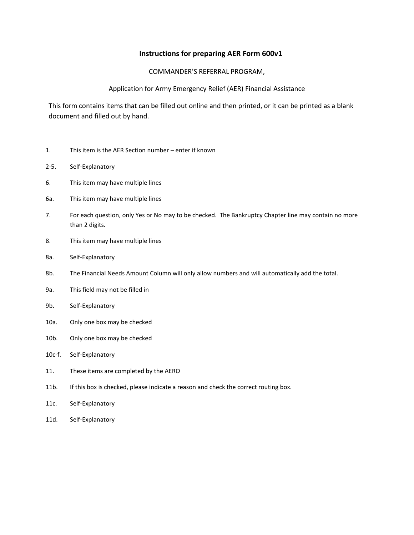## **Instructions for preparing AER Form 600v1**

## COMMANDER'S REFERRAL PROGRAM,

## Application for Army Emergency Relief (AER) Financial Assistance

This form contains items that can be filled out online and then printed, or it can be printed as a blank document and filled out by hand.

- 1. This item is the AER Section number enter if known
- 2-5. Self-Explanatory
- 6. This item may have multiple lines
- 6a. This item may have multiple lines
- 7. For each question, only Yes or No may to be checked. The Bankruptcy Chapter line may contain no more than 2 digits.
- 8. This item may have multiple lines
- 8a. Self-Explanatory
- 8b. The Financial Needs Amount Column will only allow numbers and will automatically add the total.
- 9a. This field may not be filled in
- 9b. Self-Explanatory
- 10a. Only one box may be checked
- 10b. Only one box may be checked
- 10c-f. Self-Explanatory
- 11. These items are completed by the AERO
- 11b. If this box is checked, please indicate a reason and check the correct routing box.
- 11c. Self-Explanatory
- 11d. Self-Explanatory